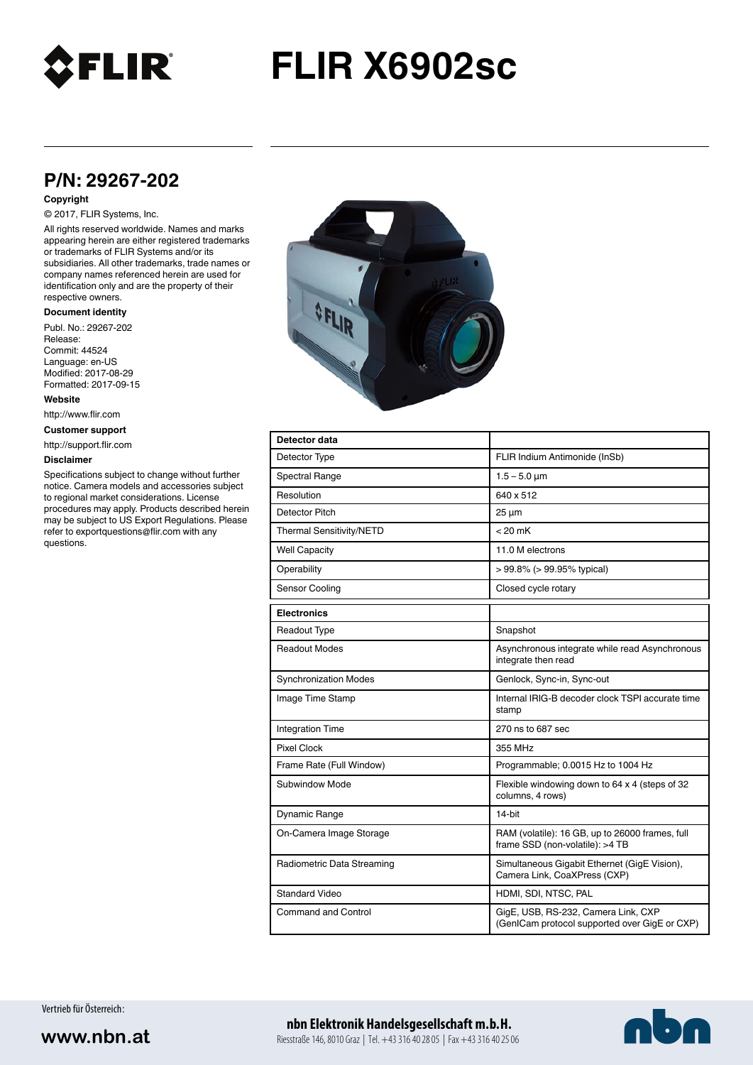

# **FLIR X6902sc**

# **P/N: 29267-202**

### **Copyright**

## © 2017, FLIR Systems, Inc.

All rights reserved worldwide. Names and marks appearing herein are either registered trademarks or trademarks of FLIR Systems and/or its subsidiaries. All other trademarks, trade names or company names referenced herein are used for identification only and are the property of their respective owners.

#### **Document identity**

Publ. No.: 29267-202 Release: Commit: 44524 Language: en-US Modified: 2017-08-29 Formatted: 2017-09-15

**Website**

http://www.flir.com

**Customer support**

http://support.flir.com

#### **Disclaimer**

Specifications subject to change without further notice. Camera models and accessories subject to regional market considerations. License procedures may apply. Products described herein may be subject to US Export Regulations. Please refer to exportquestions@flir.com with any questions.



| Detector data                |                                                                                      |
|------------------------------|--------------------------------------------------------------------------------------|
| Detector Type                | FLIR Indium Antimonide (InSb)                                                        |
| <b>Spectral Range</b>        | $1.5 - 5.0 \mu m$                                                                    |
| Resolution                   | 640 x 512                                                                            |
| Detector Pitch               | $25 \mu m$                                                                           |
| Thermal Sensitivity/NETD     | $< 20$ mK                                                                            |
| <b>Well Capacity</b>         | 11.0 M electrons                                                                     |
| Operability                  | $> 99.8\%$ ( $> 99.95\%$ typical)                                                    |
| Sensor Cooling               | Closed cycle rotary                                                                  |
| <b>Electronics</b>           |                                                                                      |
| <b>Readout Type</b>          | Snapshot                                                                             |
| <b>Readout Modes</b>         | Asynchronous integrate while read Asynchronous<br>integrate then read                |
| <b>Synchronization Modes</b> | Genlock, Sync-in, Sync-out                                                           |
| Image Time Stamp             | Internal IRIG-B decoder clock TSPI accurate time<br>stamp                            |
| <b>Integration Time</b>      | 270 ns to 687 sec                                                                    |
| <b>Pixel Clock</b>           | 355 MHz                                                                              |
| Frame Rate (Full Window)     | Programmable; 0.0015 Hz to 1004 Hz                                                   |
| Subwindow Mode               | Flexible windowing down to 64 x 4 (steps of 32<br>columns, 4 rows)                   |
| Dynamic Range                | 14-bit                                                                               |
| On-Camera Image Storage      | RAM (volatile): 16 GB, up to 26000 frames, full<br>frame SSD (non-volatile): >4 TB   |
| Radiometric Data Streaming   | Simultaneous Gigabit Ethernet (GigE Vision),<br>Camera Link, CoaXPress (CXP)         |
| <b>Standard Video</b>        | HDMI, SDI, NTSC, PAL                                                                 |
| Command and Control          | GigE, USB, RS-232, Camera Link, CXP<br>(GenICam protocol supported over GigE or CXP) |

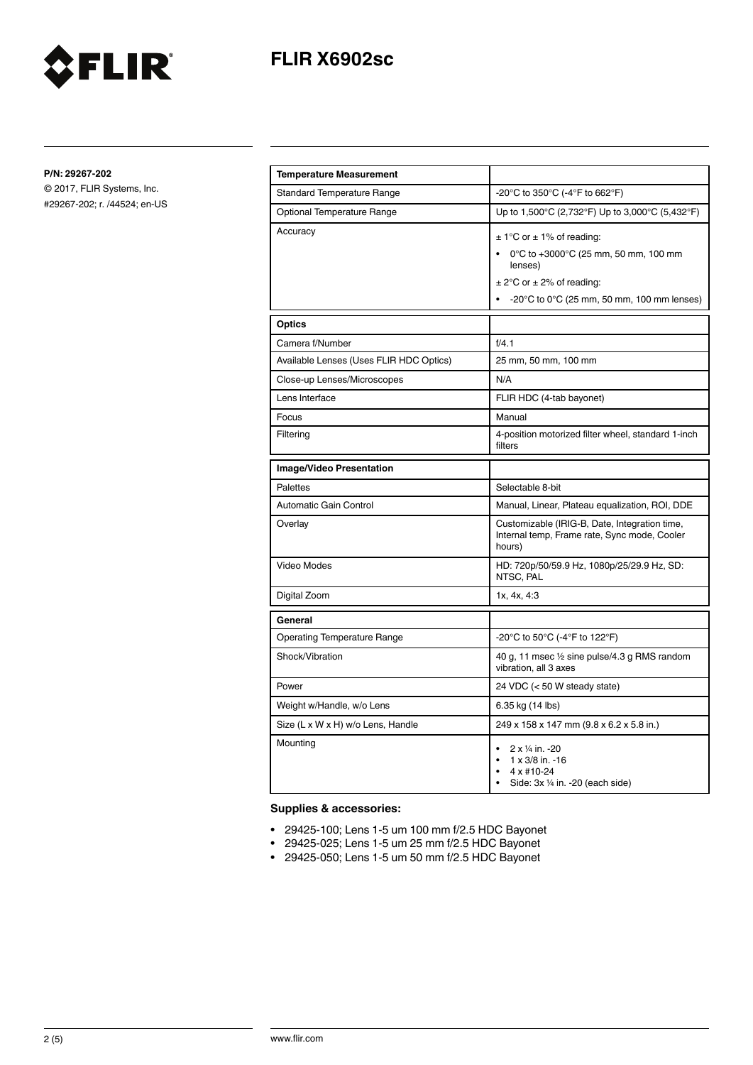

**P/N: 29267-202**

© 2017, FLIR Systems, Inc. #29267-202; r. /44524; en-US

FLIR®

| <b>Temperature Measurement</b>          |                                                                                                                                                                                              |
|-----------------------------------------|----------------------------------------------------------------------------------------------------------------------------------------------------------------------------------------------|
| <b>Standard Temperature Range</b>       | -20°C to 350°C (-4°F to 662°F)                                                                                                                                                               |
| Optional Temperature Range              | Up to 1,500°C (2,732°F) Up to 3,000°C (5,432°F)                                                                                                                                              |
| Accuracy                                | $\pm$ 1°C or $\pm$ 1% of reading:<br>0°C to +3000°C (25 mm, 50 mm, 100 mm<br>lenses)<br>$\pm$ 2°C or $\pm$ 2% of reading:<br>$-20^{\circ}$ C to 0 $^{\circ}$ C (25 mm, 50 mm, 100 mm lenses) |
| <b>Optics</b>                           |                                                                                                                                                                                              |
| Camera f/Number                         | f/4.1                                                                                                                                                                                        |
| Available Lenses (Uses FLIR HDC Optics) | 25 mm, 50 mm, 100 mm                                                                                                                                                                         |
| Close-up Lenses/Microscopes             | N/A                                                                                                                                                                                          |
| Lens Interface                          | FLIR HDC (4-tab bayonet)                                                                                                                                                                     |
| Focus                                   | Manual                                                                                                                                                                                       |
| Filtering                               | 4-position motorized filter wheel, standard 1-inch<br>filters                                                                                                                                |
| <b>Image/Video Presentation</b>         |                                                                                                                                                                                              |
| <b>Palettes</b>                         | Selectable 8-bit                                                                                                                                                                             |
|                                         |                                                                                                                                                                                              |
| Automatic Gain Control                  | Manual, Linear, Plateau equalization, ROI, DDE                                                                                                                                               |
| Overlay                                 | Customizable (IRIG-B, Date, Integration time,<br>Internal temp, Frame rate, Sync mode, Cooler<br>hours)                                                                                      |
| Video Modes                             | HD: 720p/50/59.9 Hz, 1080p/25/29.9 Hz, SD:<br>NTSC, PAL                                                                                                                                      |
| Digital Zoom                            | 1x, 4x, 4:3                                                                                                                                                                                  |
| General                                 |                                                                                                                                                                                              |
| <b>Operating Temperature Range</b>      | -20°C to 50°C (-4°F to 122°F)                                                                                                                                                                |
| Shock/Vibration                         | 40 g, 11 msec 1/2 sine pulse/4.3 g RMS random<br>vibration, all 3 axes                                                                                                                       |
| Power                                   | 24 VDC (< 50 W steady state)                                                                                                                                                                 |
| Weight w/Handle, w/o Lens               | 6.35 kg (14 lbs)                                                                                                                                                                             |
| Size (L x W x H) w/o Lens, Handle       | 249 x 158 x 147 mm (9.8 x 6.2 x 5.8 in.)                                                                                                                                                     |

# **Supplies & accessories:**

- 29425-100; Lens 1-5 um 100 mm f/2.5 HDC Bayonet
- 29425-025; Lens 1-5 um 25 mm f/2.5 HDC Bayonet
- 29425-050; Lens 1-5 um 50 mm f/2.5 HDC Bayonet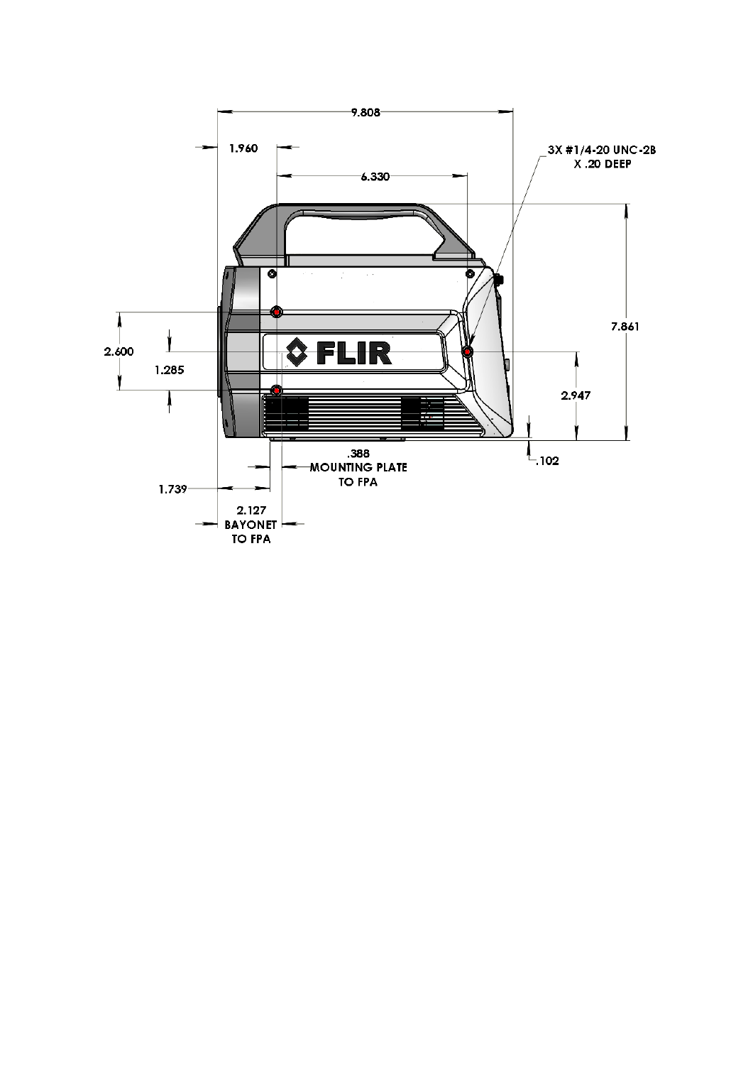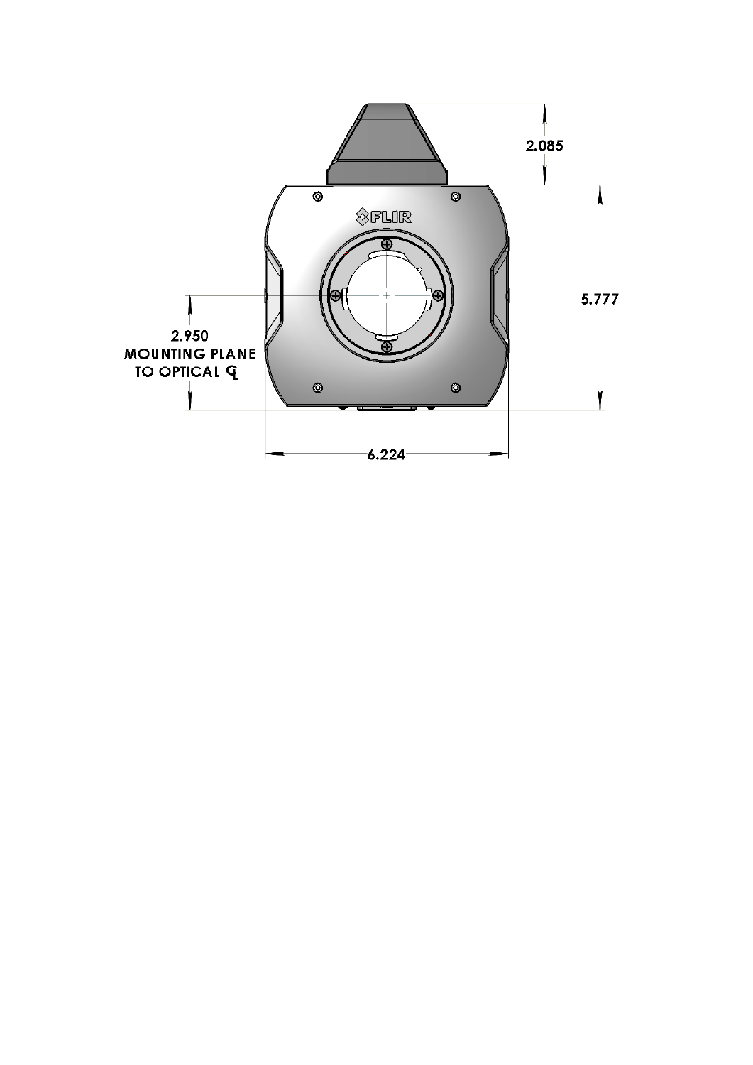